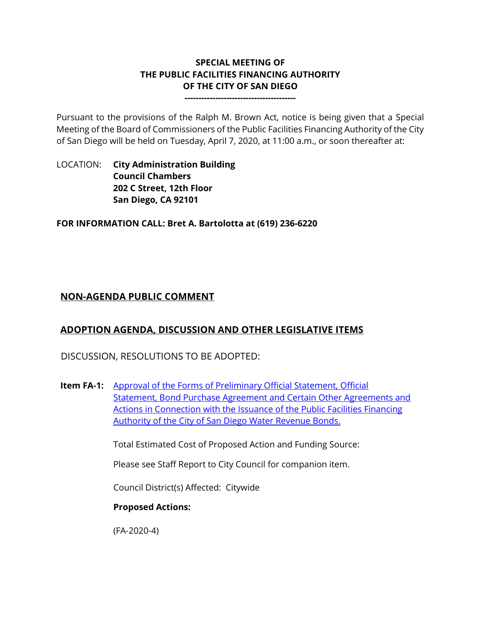# **SPECIAL MEETING OF THE PUBLIC FACILITIES FINANCING AUTHORITY OF THE CITY OF SAN DIEGO**

**----------------------------------------**

Pursuant to the provisions of the Ralph M. Brown Act, notice is being given that a Special Meeting of the Board of Commissioners of the Public Facilities Financing Authority of the City of San Diego will be held on Tuesday, April 7, 2020, at 11:00 a.m., or soon thereafter at:

LOCATION: **City Administration Building Council Chambers 202 C Street, 12th Floor San Diego, CA 92101** 

**FOR INFORMATION CALL: Bret A. Bartolotta at (619) 236-6220**

# **NON-AGENDA PUBLIC COMMENT**

# **ADOPTION AGENDA, DISCUSSION AND OTHER LEGISLATIVE ITEMS**

DISCUSSION, RESOLUTIONS TO BE ADOPTED:

**Item FA-1:** [Approval of the Forms of Preliminary Official Statement, Official](http://www.sandiego.gov/sites/default/files/pffa_fa-1_combined_items_0.pdf)  [Statement, Bond Purchase Agreement and Certain Other Agreements and](http://www.sandiego.gov/sites/default/files/pffa_fa-1_combined_items_0.pdf)  [Actions in Connection with the Issuance of the](http://www.sandiego.gov/sites/default/files/pffa_fa-1_combined_items_0.pdf) Public Facilities Financing [Authority of the City of San Diego Water Revenue Bonds.](http://www.sandiego.gov/sites/default/files/pffa_fa-1_combined_items_0.pdf)

Total Estimated Cost of Proposed Action and Funding Source:

Please see Staff Report to City Council for companion item.

Council District(s) Affected: Citywide

#### **Proposed Actions:**

(FA-2020-4)